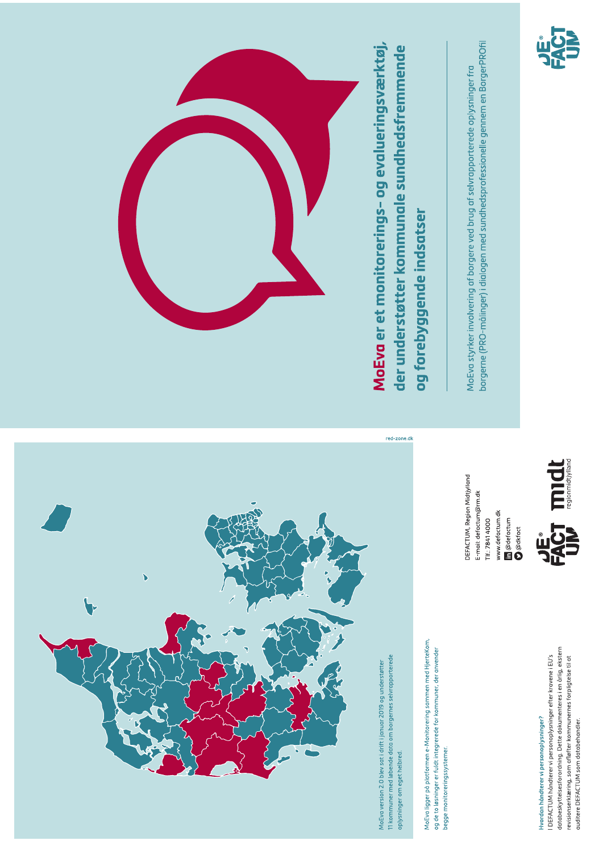

MoEva er et monitorerings- og evalueringsværktøj, der understøtter kommunale sundhedsfremmende og forebyggende indsatser borgerne (PRO-målinger) i dialogen med sundhedsprofessionelle gennem en BorgerPROfil



MoEva styrker involvering af borgere ved brug af selvrapporterede oplysninger fra













11 kommuner med løbende data om borgernes selvrapporterede MoEva version 2.0 blev sat i drift i januar 2019 og understøtter oplysninger om eget helbred. MoEva ligger på platformen e-Monitorering sammen med HjerteKom, og de to løsninger er fuldt integrerede for kommuner, der anvender begge monitoreringssystemer.

databeskyttelsesforordning. Dette dokumenteres i en årlig, ekstern I DEFACTUM håndterer vi personoplysninger efter kravene i EU's revisionserklæring, som afløfter kommunernes forpligtelse til at Hvordan håndterer vi personoplysninger? auditere DEFACTUM som databehandler.